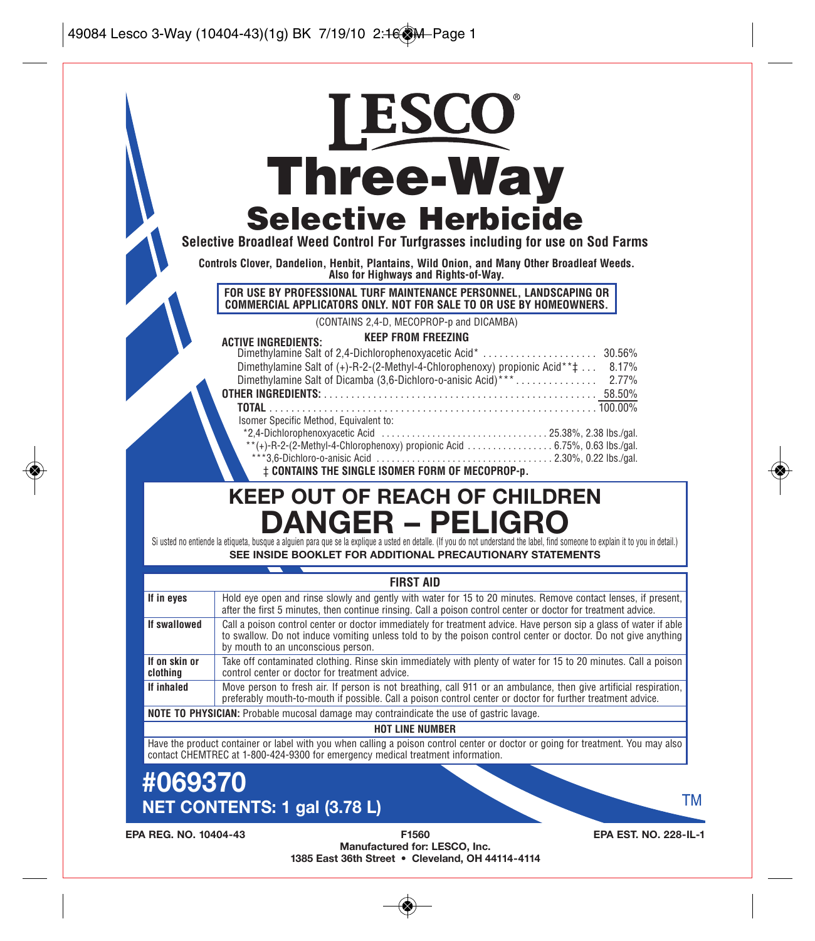|                           | <b>Three-Way</b>                                                                                                                                                                                                                                                                                                                                                                                                                                                            |
|---------------------------|-----------------------------------------------------------------------------------------------------------------------------------------------------------------------------------------------------------------------------------------------------------------------------------------------------------------------------------------------------------------------------------------------------------------------------------------------------------------------------|
|                           |                                                                                                                                                                                                                                                                                                                                                                                                                                                                             |
|                           | <b>Selective Herbicide</b>                                                                                                                                                                                                                                                                                                                                                                                                                                                  |
|                           | Selective Broadleaf Weed Control For Turfgrasses including for use on Sod Farms                                                                                                                                                                                                                                                                                                                                                                                             |
|                           | Controls Clover, Dandelion, Henbit, Plantains, Wild Onion, and Many Other Broadleaf Weeds.<br>Also for Highways and Rights-of-Way.                                                                                                                                                                                                                                                                                                                                          |
|                           | FOR USE BY PROFESSIONAL TURF MAINTENANCE PERSONNEL. LANDSCAPING OR<br>COMMERCIAL APPLICATORS ONLY. NOT FOR SALE TO OR USE BY HOMEOWNERS.                                                                                                                                                                                                                                                                                                                                    |
|                           | (CONTAINS 2,4-D, MECOPROP-p and DICAMBA)                                                                                                                                                                                                                                                                                                                                                                                                                                    |
|                           | <b>KEEP FROM FREEZING</b><br><b>ACTIVE INGREDIENTS:</b>                                                                                                                                                                                                                                                                                                                                                                                                                     |
|                           | Dimethylamine Salt of $(+)$ -R-2- $(2-Methyl-4-Chlorophenoxy)$ propionic Acid ** $\ddagger$<br>8.17%<br>Isomer Specific Method, Equivalent to:<br>$*2.4$ -Dichlorophenoxyacetic Acid $\ldots \ldots \ldots \ldots \ldots \ldots \ldots \ldots \ldots \ldots$ 25.38%, 2.38 lbs./gal.                                                                                                                                                                                         |
|                           | <b>‡ CONTAINS THE SINGLE ISOMER FORM OF MECOPROP-p.</b><br><b>KEEP OUT OF REACH OF CHILDREN</b>                                                                                                                                                                                                                                                                                                                                                                             |
|                           | <b>DANGER – PELIGRO</b><br>Si usted no entiende la etiqueta, busque a alguien para que se la explique a usted en detalle. (If you do not understand the label, find someone to explain it to you in detail.)<br>SEE INSIDE BOOKLET FOR ADDITIONAL PRECAUTIONARY STATEMENTS                                                                                                                                                                                                  |
|                           | <b>FIRST AID</b>                                                                                                                                                                                                                                                                                                                                                                                                                                                            |
| If in eyes                | Hold eye open and rinse slowly and gently with water for 15 to 20 minutes. Remove contact lenses, if present,<br>after the first 5 minutes, then continue rinsing. Call a poison control center or doctor for treatment advice.                                                                                                                                                                                                                                             |
| If swallowed              | by mouth to an unconscious person.                                                                                                                                                                                                                                                                                                                                                                                                                                          |
| If on skin or<br>clothing | control center or doctor for treatment advice.                                                                                                                                                                                                                                                                                                                                                                                                                              |
| If inhaled                | Call a poison control center or doctor immediately for treatment advice. Have person sip a glass of water if able<br>to swallow. Do not induce vomiting unless told to by the poison control center or doctor. Do not give anything<br>Take off contaminated clothing. Rinse skin immediately with plenty of water for 15 to 20 minutes. Call a poison<br>Move person to fresh air. If person is not breathing, call 911 or an ambulance, then give artificial respiration, |
|                           | preferably mouth-to-mouth if possible. Call a poison control center or doctor for further treatment advice.<br>NOTE TO PHYSICIAN: Probable mucosal damage may contraindicate the use of gastric lavage.                                                                                                                                                                                                                                                                     |
|                           | <b>HOT LINE NUMBER</b>                                                                                                                                                                                                                                                                                                                                                                                                                                                      |
|                           | Have the product container or label with you when calling a poison control center or doctor or going for treatment. You may also<br>contact CHEMTREC at 1-800-424-9300 for emergency medical treatment information.                                                                                                                                                                                                                                                         |
| #069370                   |                                                                                                                                                                                                                                                                                                                                                                                                                                                                             |

**Manufactured for: LESCO, Inc. 1385 East 36th Street • Cleveland, OH 44114-4114**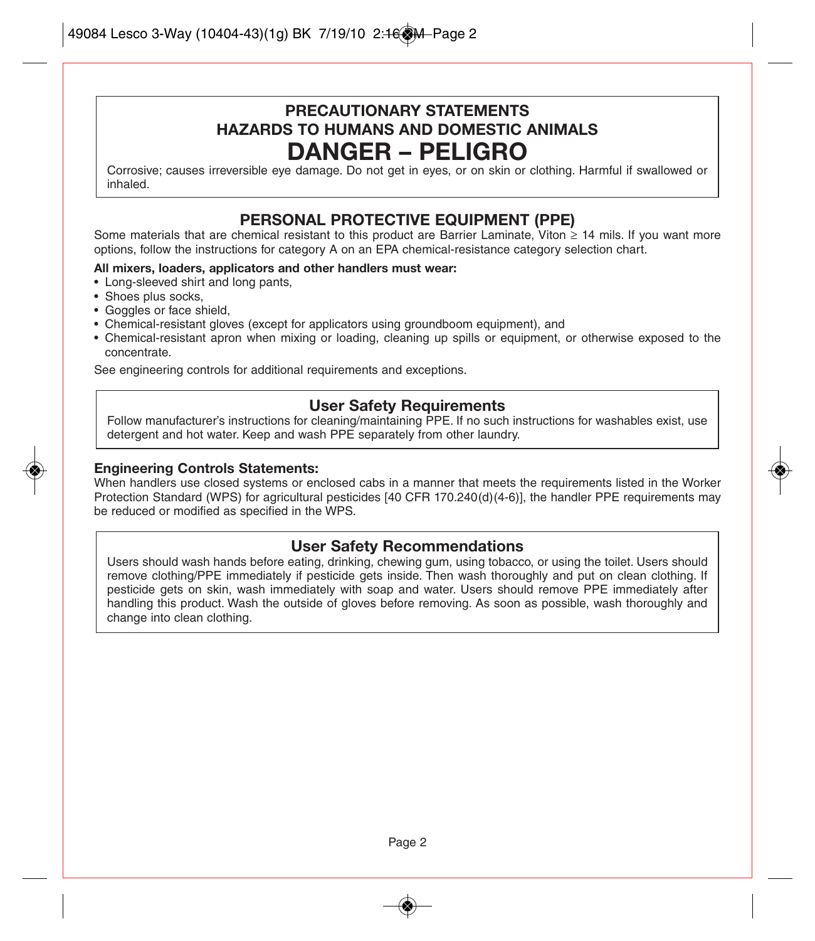## **PRECAUTIONARY STATEMENTS HAZARDS TO HUMANS AND DOMESTIC ANIMALS DANGER – PELIGRO**

Corrosive; causes irreversible eye damage. Do not get in eyes, or on skin or clothing. Harmful if swallowed or inhaled.

### **PERSONAL PROTECTIVE EQUIPMENT (PPE)**

Some materials that are chemical resistant to this product are Barrier Laminate, Viton ≥ 14 mils. If you want more options, follow the instructions for category A on an EPA chemical-resistance category selection chart.

#### **All mixers, loaders, applicators and other handlers must wear:**

- Long-sleeved shirt and long pants,
- Shoes plus socks,
- Goggles or face shield,
- Chemical-resistant gloves (except for applicators using groundboom equipment), and
- Chemical-resistant apron when mixing or loading, cleaning up spills or equipment, or otherwise exposed to the concentrate.

See engineering controls for additional requirements and exceptions.

#### **User Safety Requirements**

Follow manufacturer's instructions for cleaning/maintaining PPE. If no such instructions for washables exist, use detergent and hot water. Keep and wash PPE separately from other laundry.

#### **Engineering Controls Statements:**

When handlers use closed systems or enclosed cabs in a manner that meets the requirements listed in the Worker Protection Standard (WPS) for agricultural pesticides [40 CFR 170.240(d)(4-6)], the handler PPE requirements may be reduced or modified as specified in the WPS.

#### **User Safety Recommendations**

Users should wash hands before eating, drinking, chewing gum, using tobacco, or using the toilet. Users should remove clothing/PPE immediately if pesticide gets inside. Then wash thoroughly and put on clean clothing. If pesticide gets on skin, wash immediately with soap and water. Users should remove PPE immediately after handling this product. Wash the outside of gloves before removing. As soon as possible, wash thoroughly and change into clean clothing.

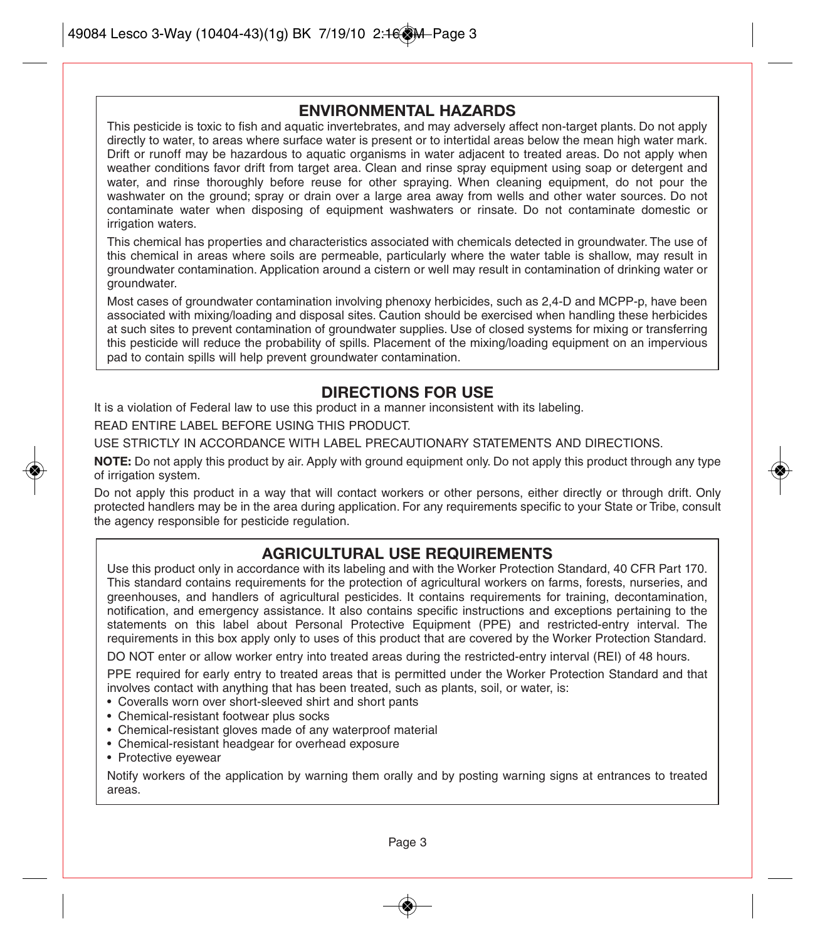#### **ENVIRONMENTAL HAZARDS**

This pesticide is toxic to fish and aquatic invertebrates, and may adversely affect non-target plants. Do not apply directly to water, to areas where surface water is present or to intertidal areas below the mean high water mark. Drift or runoff may be hazardous to aquatic organisms in water adjacent to treated areas. Do not apply when weather conditions favor drift from target area. Clean and rinse spray equipment using soap or detergent and water, and rinse thoroughly before reuse for other spraying. When cleaning equipment, do not pour the washwater on the ground; spray or drain over a large area away from wells and other water sources. Do not contaminate water when disposing of equipment washwaters or rinsate. Do not contaminate domestic or irrigation waters.

This chemical has properties and characteristics associated with chemicals detected in groundwater. The use of this chemical in areas where soils are permeable, particularly where the water table is shallow, may result in groundwater contamination. Application around a cistern or well may result in contamination of drinking water or groundwater.

Most cases of groundwater contamination involving phenoxy herbicides, such as 2,4-D and MCPP-p, have been associated with mixing/loading and disposal sites. Caution should be exercised when handling these herbicides at such sites to prevent contamination of groundwater supplies. Use of closed systems for mixing or transferring this pesticide will reduce the probability of spills. Placement of the mixing/loading equipment on an impervious pad to contain spills will help prevent groundwater contamination.

#### **DIRECTIONS FOR USE**

It is a violation of Federal law to use this product in a manner inconsistent with its labeling.

READ ENTIRE LABEL BEFORE USING THIS PRODUCT.

USE STRICTLY IN ACCORDANCE WITH LABEL PRECAUTIONARY STATEMENTS AND DIRECTIONS.

**NOTE:** Do not apply this product by air. Apply with ground equipment only. Do not apply this product through any type of irrigation system.

Do not apply this product in a way that will contact workers or other persons, either directly or through drift. Only protected handlers may be in the area during application. For any requirements specific to your State or Tribe, consult the agency responsible for pesticide regulation.

#### **AGRICULTURAL USE REQUIREMENTS**

Use this product only in accordance with its labeling and with the Worker Protection Standard, 40 CFR Part 170. This standard contains requirements for the protection of agricultural workers on farms, forests, nurseries, and greenhouses, and handlers of agricultural pesticides. It contains requirements for training, decontamination, notification, and emergency assistance. It also contains specific instructions and exceptions pertaining to the statements on this label about Personal Protective Equipment (PPE) and restricted-entry interval. The requirements in this box apply only to uses of this product that are covered by the Worker Protection Standard.

DO NOT enter or allow worker entry into treated areas during the restricted-entry interval (REI) of 48 hours.

PPE required for early entry to treated areas that is permitted under the Worker Protection Standard and that involves contact with anything that has been treated, such as plants, soil, or water, is:

- Coveralls worn over short-sleeved shirt and short pants
- Chemical-resistant footwear plus socks
- Chemical-resistant gloves made of any waterproof material
- Chemical-resistant headgear for overhead exposure
- Protective eyewear

Notify workers of the application by warning them orally and by posting warning signs at entrances to treated areas.

Page 3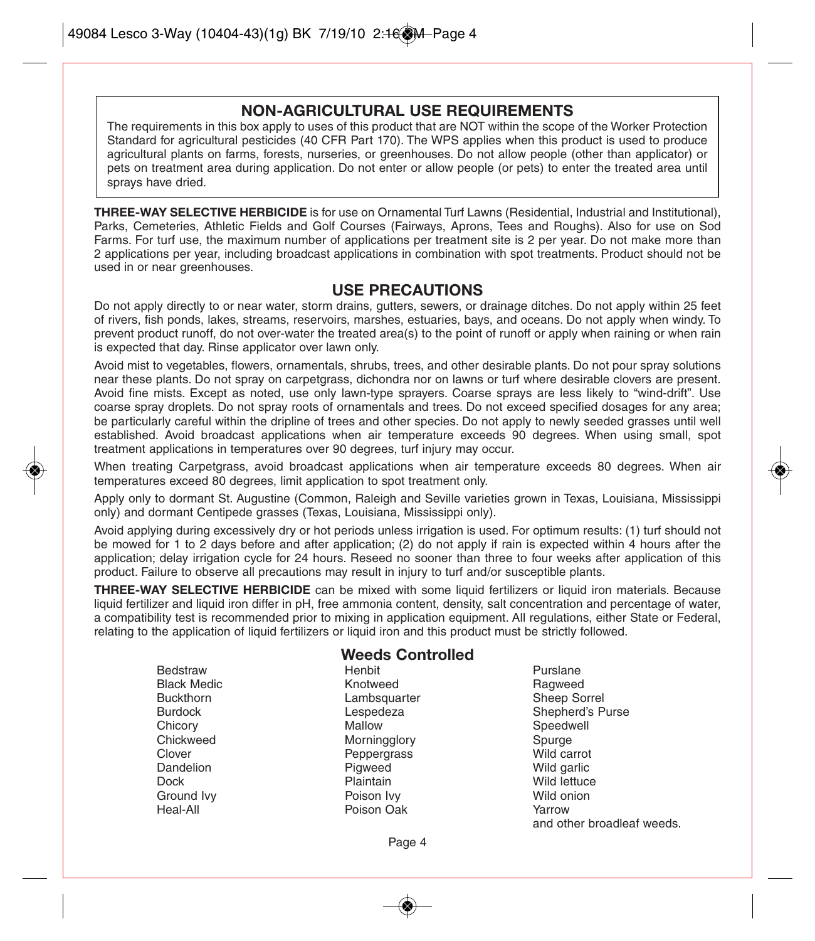#### **NON-AGRICULTURAL USE REQUIREMENTS**

The requirements in this box apply to uses of this product that are NOT within the scope of the Worker Protection Standard for agricultural pesticides (40 CFR Part 170). The WPS applies when this product is used to produce agricultural plants on farms, forests, nurseries, or greenhouses. Do not allow people (other than applicator) or pets on treatment area during application. Do not enter or allow people (or pets) to enter the treated area until sprays have dried.

**THREE-WAY SELECTIVE HERBICIDE** is for use on Ornamental Turf Lawns (Residential, Industrial and Institutional), Parks, Cemeteries, Athletic Fields and Golf Courses (Fairways, Aprons, Tees and Roughs). Also for use on Sod Farms. For turf use, the maximum number of applications per treatment site is 2 per year. Do not make more than 2 applications per year, including broadcast applications in combination with spot treatments. Product should not be used in or near greenhouses.

#### **USE PRECAUTIONS**

Do not apply directly to or near water, storm drains, gutters, sewers, or drainage ditches. Do not apply within 25 feet of rivers, fish ponds, lakes, streams, reservoirs, marshes, estuaries, bays, and oceans. Do not apply when windy. To prevent product runoff, do not over-water the treated area(s) to the point of runoff or apply when raining or when rain is expected that day. Rinse applicator over lawn only.

Avoid mist to vegetables, flowers, ornamentals, shrubs, trees, and other desirable plants. Do not pour spray solutions near these plants. Do not spray on carpetgrass, dichondra nor on lawns or turf where desirable clovers are present. Avoid fine mists. Except as noted, use only lawn-type sprayers. Coarse sprays are less likely to "wind-drift". Use coarse spray droplets. Do not spray roots of ornamentals and trees. Do not exceed specified dosages for any area; be particularly careful within the dripline of trees and other species. Do not apply to newly seeded grasses until well established. Avoid broadcast applications when air temperature exceeds 90 degrees. When using small, spot treatment applications in temperatures over 90 degrees, turf injury may occur.

When treating Carpetgrass, avoid broadcast applications when air temperature exceeds 80 degrees. When air temperatures exceed 80 degrees, limit application to spot treatment only.

Apply only to dormant St. Augustine (Common, Raleigh and Seville varieties grown in Texas, Louisiana, Mississippi only) and dormant Centipede grasses (Texas, Louisiana, Mississippi only).

Avoid applying during excessively dry or hot periods unless irrigation is used. For optimum results: (1) turf should not be mowed for 1 to 2 days before and after application; (2) do not apply if rain is expected within 4 hours after the application; delay irrigation cycle for 24 hours. Reseed no sooner than three to four weeks after application of this product. Failure to observe all precautions may result in injury to turf and/or susceptible plants.

**THREE-WAY SELECTIVE HERBICIDE** can be mixed with some liquid fertilizers or liquid iron materials. Because liquid fertilizer and liquid iron differ in pH, free ammonia content, density, salt concentration and percentage of water, a compatibility test is recommended prior to mixing in application equipment. All regulations, either State or Federal, relating to the application of liquid fertilizers or liquid iron and this product must be strictly followed.

# **Weeds Controlled**

Bedstraw **Reserves** Henbit Purslane Black Medic **Christian Communist Christian Communist Christian Christian Christian Christian Christian Christian**<br>Buckthorn Christian Christian Christian Christian Christian Christian Christian Christian Christian Christia Lambsquarter Chicory **Mallow** Mallow Speedwell Chickweed Morningglory Spurge Clover Peppergrass Wild carrot Dock Plaintain Wild lettuce Ground Ivy Poison Ivy Wild onion Poison Oak

Burdock Lespedeza Shepherd's Purse Wild garlic and other broadleaf weeds.

Page 4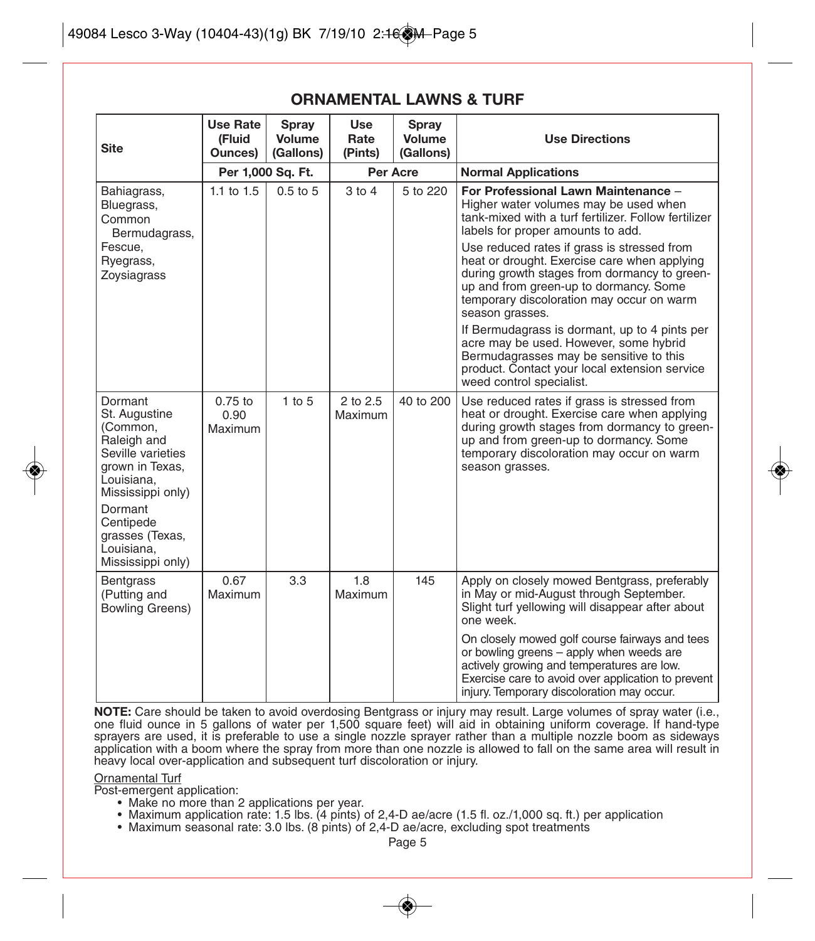| <b>Site</b>                                                                                                                    | Use Rate<br>(Fluid<br>Ounces) | Spray<br>Volume<br>(Gallons) | Use<br>Rate<br>(Pints) | Spray<br>Volume<br>(Gallons) | <b>Use Directions</b>                                                                                                                                                                                                                                 |  |
|--------------------------------------------------------------------------------------------------------------------------------|-------------------------------|------------------------------|------------------------|------------------------------|-------------------------------------------------------------------------------------------------------------------------------------------------------------------------------------------------------------------------------------------------------|--|
|                                                                                                                                |                               | Per 1,000 Sq. Ft.            | Per Acre               |                              | <b>Normal Applications</b>                                                                                                                                                                                                                            |  |
| Bahiagrass,<br>Bluegrass,<br>Common<br>Bermudagrass,                                                                           | 1.1 to $1.5$                  | $0.5$ to $5$                 | $3$ to $4$             | 5 to 220                     | For Professional Lawn Maintenance -<br>Higher water volumes may be used when<br>tank-mixed with a turf fertilizer. Follow fertilizer<br>labels for proper amounts to add.                                                                             |  |
| Fescue,<br>Ryegrass,<br>Zoysiagrass                                                                                            |                               |                              |                        |                              | Use reduced rates if grass is stressed from<br>heat or drought. Exercise care when applying<br>during growth stages from dormancy to green-<br>up and from green-up to dormancy. Some<br>temporary discoloration may occur on warm<br>season grasses. |  |
|                                                                                                                                |                               |                              |                        |                              | If Bermudagrass is dormant, up to 4 pints per<br>acre may be used. However, some hybrid<br>Bermudagrasses may be sensitive to this<br>product. Contact your local extension service<br>weed control specialist.                                       |  |
| Dormant<br>St. Augustine<br>(Common,<br>Raleigh and<br>Seville varieties<br>grown in Texas,<br>Louisiana,<br>Mississippi only) | $0.75$ to<br>0.90<br>Maximum  | $1$ to $5$                   | 2 to 2.5<br>Maximum    | 40 to 200                    | Use reduced rates if grass is stressed from<br>heat or drought. Exercise care when applying<br>during growth stages from dormancy to green-<br>up and from green-up to dormancy. Some<br>temporary discoloration may occur on warm<br>season grasses. |  |
| Dormant<br>Centipede<br>grasses (Texas,<br>Louisiana.<br>Mississippi only)                                                     |                               |                              |                        |                              |                                                                                                                                                                                                                                                       |  |
| <b>Bentgrass</b><br>(Putting and<br><b>Bowling Greens)</b>                                                                     | 0.67<br>Maximum               | 3.3                          | 1.8<br>Maximum         | 145                          | Apply on closely mowed Bentgrass, preferably<br>in May or mid-August through September.<br>Slight turf yellowing will disappear after about<br>one week.                                                                                              |  |
|                                                                                                                                |                               |                              |                        |                              | On closely mowed golf course fairways and tees<br>or bowling greens - apply when weeds are<br>actively growing and temperatures are low.<br>Exercise care to avoid over application to prevent<br>injury. Temporary discoloration may occur.          |  |

#### **ORNAMENTAL LAWNS & TURF**

**NOTE:** Care should be taken to avoid overdosing Bentgrass or injury may result. Large volumes of spray water (i.e., one fluid ounce in 5 gallons of water per 1,500 square feet) will aid in obtaining uniform coverage. If hand-type sprayers are used, it is preferable to use a single nozzle sprayer rather than a multiple nozzle boom as sideways application with a boom where the spray from more than one nozzle is allowed to fall on the same area will result in heavy local over-application and subsequent turf discoloration or injury.

Ornamental Turf Post-emergent application:

- Make no more than 2 applications per year.
- Maximum application rate: 1.5 lbs. (4 pints) of 2,4-D ae/acre (1.5 fl. oz./1,000 sq. ft.) per application
- Maximum seasonal rate: 3.0 lbs. (8 pints) of 2,4-D ae/acre, excluding spot treatments

Page 5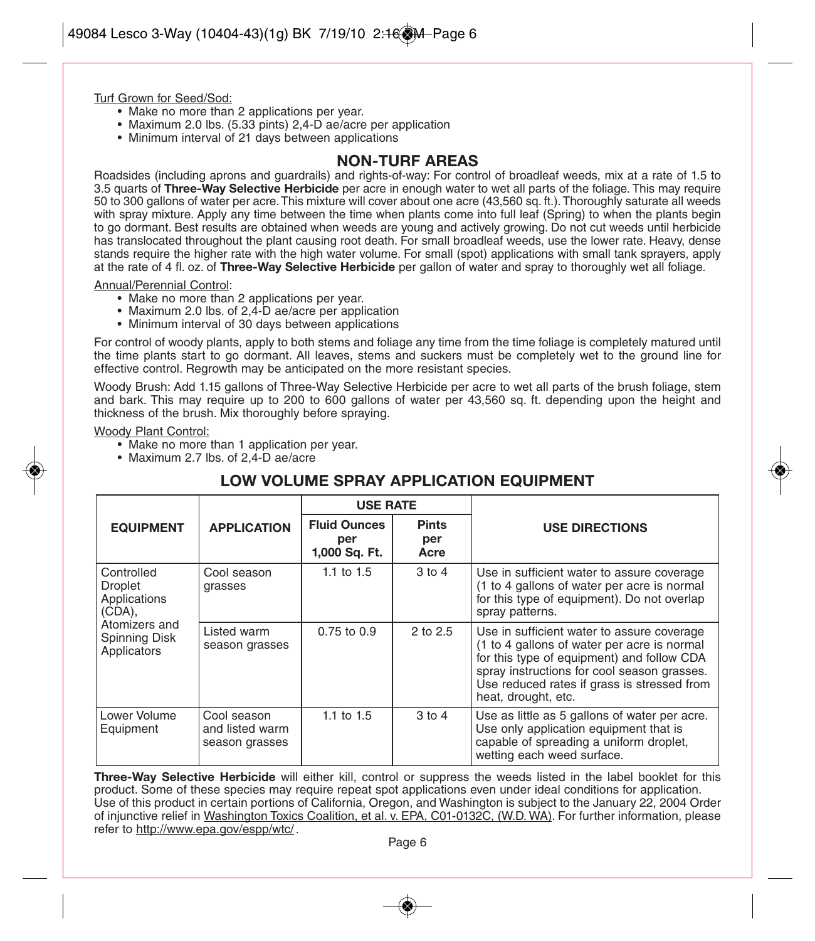#### Turf Grown for Seed/Sod:

- Make no more than 2 applications per year.
- Maximum 2.0 lbs. (5.33 pints) 2,4-D ae/acre per application
- Minimum interval of 21 days between applications

#### **NON-TURF AREAS**

Roadsides (including aprons and guardrails) and rights-of-way: For control of broadleaf weeds, mix at a rate of 1.5 to 3.5 quarts of **Three-Way Selective Herbicide** per acre in enough water to wet all parts of the foliage. This may require 50 to 300 gallons of water per acre. This mixture will cover about one acre (43,560 sq. ft.). Thoroughly saturate all weeds with spray mixture. Apply any time between the time when plants come into full leaf (Spring) to when the plants begin to go dormant. Best results are obtained when weeds are young and actively growing. Do not cut weeds until herbicide has translocated throughout the plant causing root death. For small broadleaf weeds, use the lower rate. Heavy, dense stands require the higher rate with the high water volume. For small (spot) applications with small tank sprayers, apply at the rate of 4 fl. oz. of **Three-Way Selective Herbicide** per gallon of water and spray to thoroughly wet all foliage.

Annual/Perennial Control:

- Make no more than 2 applications per year.
- Maximum 2.0 lbs. of 2,4-D ae/acre per application
- Minimum interval of 30 days between applications

For control of woody plants, apply to both stems and foliage any time from the time foliage is completely matured until the time plants start to go dormant. All leaves, stems and suckers must be completely wet to the ground line for effective control. Regrowth may be anticipated on the more resistant species.

Woody Brush: Add 1.15 gallons of Three-Way Selective Herbicide per acre to wet all parts of the brush foliage, stem and bark. This may require up to 200 to 600 gallons of water per 43,560 sq. ft. depending upon the height and thickness of the brush. Mix thoroughly before spraying.

Woody Plant Control:

- Make no more than 1 application per year.
- Maximum 2.7 lbs. of 2,4-D ae/acre

#### **LOW VOLUME SPRAY APPLICATION EQUIPMENT**

|                                                           |                                                  | <b>USE RATE</b>                             |                             |                                                                                                                                                                                                                                                              |  |
|-----------------------------------------------------------|--------------------------------------------------|---------------------------------------------|-----------------------------|--------------------------------------------------------------------------------------------------------------------------------------------------------------------------------------------------------------------------------------------------------------|--|
| <b>EQUIPMENT</b>                                          | <b>APPLICATION</b>                               | <b>Fluid Ounces</b><br>per<br>1,000 Sq. Ft. | <b>Pints</b><br>per<br>Acre | <b>USE DIRECTIONS</b>                                                                                                                                                                                                                                        |  |
| Controlled<br><b>Droplet</b><br>Applications<br>$(CDA)$ , | Cool season<br>grasses                           | 1.1 to $1.5$                                | $3$ to $4$                  | Use in sufficient water to assure coverage<br>(1 to 4 gallons of water per acre is normal<br>for this type of equipment). Do not overlap<br>spray patterns.                                                                                                  |  |
| Atomizers and<br>Spinning Disk<br>Applicators             | Listed warm<br>season grasses                    | $0.75$ to $0.9$                             | 2 to 2.5                    | Use in sufficient water to assure coverage<br>(1 to 4 gallons of water per acre is normal<br>for this type of equipment) and follow CDA<br>spray instructions for cool season grasses.<br>Use reduced rates if grass is stressed from<br>heat, drought, etc. |  |
| Lower Volume<br>Equipment                                 | Cool season<br>and listed warm<br>season grasses | 1.1 to $1.5$                                | $3$ to $4$                  | Use as little as 5 gallons of water per acre.<br>Use only application equipment that is<br>capable of spreading a uniform droplet,<br>wetting each weed surface.                                                                                             |  |

**Three-Way Selective Herbicide** will either kill, control or suppress the weeds listed in the label booklet for this product. Some of these species may require repeat spot applications even under ideal conditions for application. Use of this product in certain portions of California, Oregon, and Washington is subject to the January 22, 2004 Order of injunctive relief in Washington Toxics Coalition, et al. v. EPA, C01-0132C, (W.D. WA). For further information, please refer to http://www.epa.gov/espp/wtc/.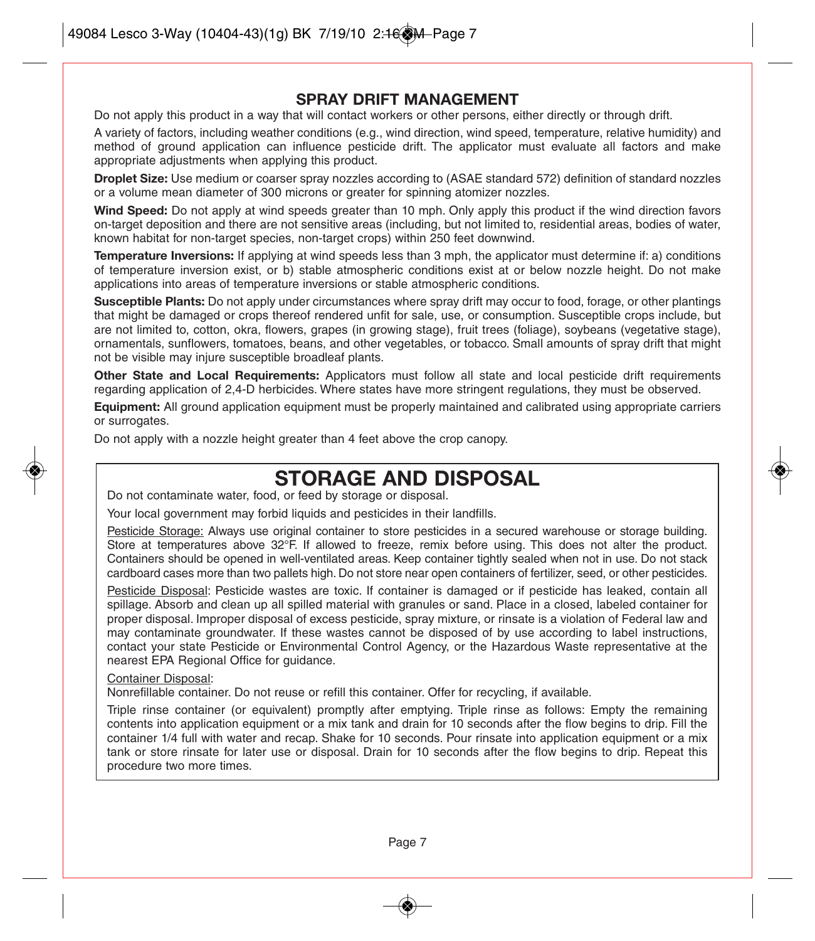#### **SPRAY DRIFT MANAGEMENT**

Do not apply this product in a way that will contact workers or other persons, either directly or through drift.

A variety of factors, including weather conditions (e.g., wind direction, wind speed, temperature, relative humidity) and method of ground application can influence pesticide drift. The applicator must evaluate all factors and make appropriate adjustments when applying this product.

**Droplet Size:** Use medium or coarser spray nozzles according to (ASAE standard 572) definition of standard nozzles or a volume mean diameter of 300 microns or greater for spinning atomizer nozzles.

**Wind Speed:** Do not apply at wind speeds greater than 10 mph. Only apply this product if the wind direction favors on-target deposition and there are not sensitive areas (including, but not limited to, residential areas, bodies of water, known habitat for non-target species, non-target crops) within 250 feet downwind.

**Temperature Inversions:** If applying at wind speeds less than 3 mph, the applicator must determine if: a) conditions of temperature inversion exist, or b) stable atmospheric conditions exist at or below nozzle height. Do not make applications into areas of temperature inversions or stable atmospheric conditions.

**Susceptible Plants:** Do not apply under circumstances where spray drift may occur to food, forage, or other plantings that might be damaged or crops thereof rendered unfit for sale, use, or consumption. Susceptible crops include, but are not limited to, cotton, okra, flowers, grapes (in growing stage), fruit trees (foliage), soybeans (vegetative stage), ornamentals, sunflowers, tomatoes, beans, and other vegetables, or tobacco. Small amounts of spray drift that might not be visible may injure susceptible broadleaf plants.

**Other State and Local Requirements:** Applicators must follow all state and local pesticide drift requirements regarding application of 2,4-D herbicides. Where states have more stringent regulations, they must be observed.

**Equipment:** All ground application equipment must be properly maintained and calibrated using appropriate carriers or surrogates.

Do not apply with a nozzle height greater than 4 feet above the crop canopy.

# **STORAGE AND DISPOSAL**

Do not contaminate water, food, or feed by storage or disposal.

Your local government may forbid liquids and pesticides in their landfills.

Pesticide Storage: Always use original container to store pesticides in a secured warehouse or storage building. Store at temperatures above 32°F. If allowed to freeze, remix before using. This does not alter the product. Containers should be opened in well-ventilated areas. Keep container tightly sealed when not in use. Do not stack cardboard cases more than two pallets high. Do not store near open containers of fertilizer, seed, or other pesticides.

Pesticide Disposal: Pesticide wastes are toxic. If container is damaged or if pesticide has leaked, contain all spillage. Absorb and clean up all spilled material with granules or sand. Place in a closed, labeled container for proper disposal. Improper disposal of excess pesticide, spray mixture, or rinsate is a violation of Federal law and may contaminate groundwater. If these wastes cannot be disposed of by use according to label instructions, contact your state Pesticide or Environmental Control Agency, or the Hazardous Waste representative at the nearest EPA Regional Office for guidance.

#### Container Disposal:

Nonrefillable container. Do not reuse or refill this container. Offer for recycling, if available.

Triple rinse container (or equivalent) promptly after emptying. Triple rinse as follows: Empty the remaining contents into application equipment or a mix tank and drain for 10 seconds after the flow begins to drip. Fill the container 1/4 full with water and recap. Shake for 10 seconds. Pour rinsate into application equipment or a mix tank or store rinsate for later use or disposal. Drain for 10 seconds after the flow begins to drip. Repeat this procedure two more times.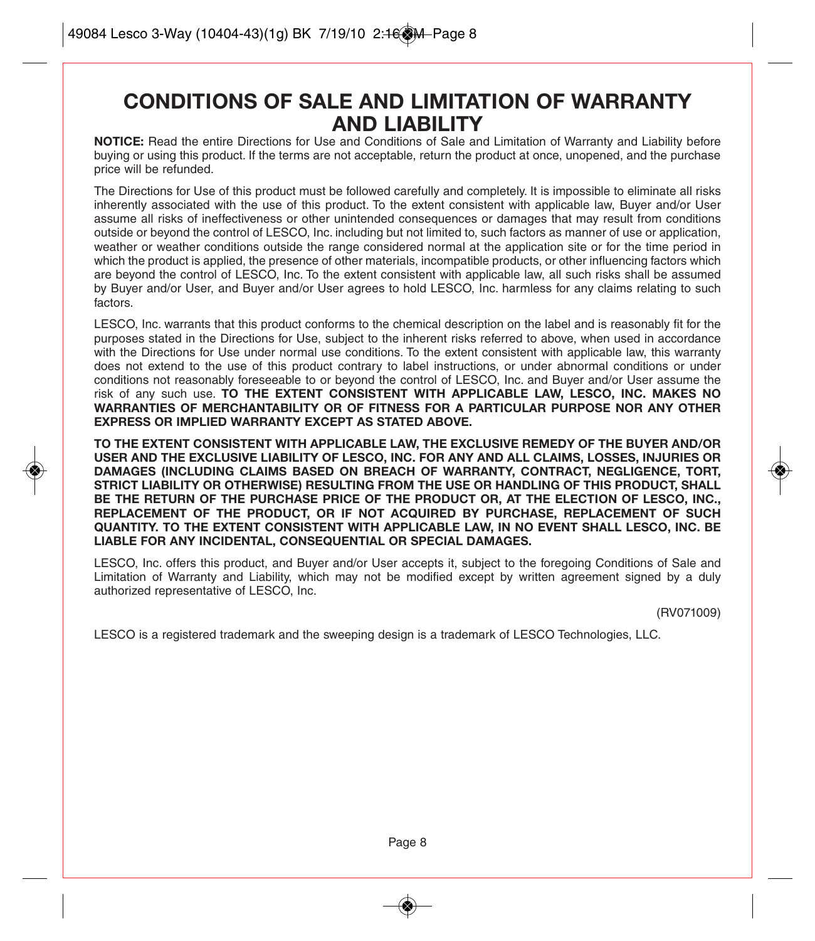# **CONDITIONS OF SALE AND LIMITATION OF WARRANTY AND LIABILITY**

**NOTICE:** Read the entire Directions for Use and Conditions of Sale and Limitation of Warranty and Liability before buying or using this product. If the terms are not acceptable, return the product at once, unopened, and the purchase price will be refunded.

The Directions for Use of this product must be followed carefully and completely. It is impossible to eliminate all risks inherently associated with the use of this product. To the extent consistent with applicable law, Buyer and/or User assume all risks of ineffectiveness or other unintended consequences or damages that may result from conditions outside or beyond the control of LESCO, Inc. including but not limited to, such factors as manner of use or application, weather or weather conditions outside the range considered normal at the application site or for the time period in which the product is applied, the presence of other materials, incompatible products, or other influencing factors which are beyond the control of LESCO, Inc. To the extent consistent with applicable law, all such risks shall be assumed by Buyer and/or User, and Buyer and/or User agrees to hold LESCO, Inc. harmless for any claims relating to such factors.

LESCO, Inc. warrants that this product conforms to the chemical description on the label and is reasonably fit for the purposes stated in the Directions for Use, subject to the inherent risks referred to above, when used in accordance with the Directions for Use under normal use conditions. To the extent consistent with applicable law, this warranty does not extend to the use of this product contrary to label instructions, or under abnormal conditions or under conditions not reasonably foreseeable to or beyond the control of LESCO, Inc. and Buyer and/or User assume the risk of any such use. **TO THE EXTENT CONSISTENT WITH APPLICABLE LAW, LESCO, INC. MAKES NO WARRANTIES OF MERCHANTABILITY OR OF FITNESS FOR A PARTICULAR PURPOSE NOR ANY OTHER EXPRESS OR IMPLIED WARRANTY EXCEPT AS STATED ABOVE.**

**TO THE EXTENT CONSISTENT WITH APPLICABLE LAW, THE EXCLUSIVE REMEDY OF THE BUYER AND/OR USER AND THE EXCLUSIVE LIABILITY OF LESCO, INC. FOR ANY AND ALL CLAIMS, LOSSES, INJURIES OR DAMAGES (INCLUDING CLAIMS BASED ON BREACH OF WARRANTY, CONTRACT, NEGLIGENCE, TORT, STRICT LIABILITY OR OTHERWISE) RESULTING FROM THE USE OR HANDLING OF THIS PRODUCT, SHALL BE THE RETURN OF THE PURCHASE PRICE OF THE PRODUCT OR, AT THE ELECTION OF LESCO, INC., REPLACEMENT OF THE PRODUCT, OR IF NOT ACQUIRED BY PURCHASE, REPLACEMENT OF SUCH QUANTITY. TO THE EXTENT CONSISTENT WITH APPLICABLE LAW, IN NO EVENT SHALL LESCO, INC. BE LIABLE FOR ANY INCIDENTAL, CONSEQUENTIAL OR SPECIAL DAMAGES.**

LESCO, Inc. offers this product, and Buyer and/or User accepts it, subject to the foregoing Conditions of Sale and Limitation of Warranty and Liability, which may not be modified except by written agreement signed by a duly authorized representative of LESCO, Inc.

(RV071009)

LESCO is a registered trademark and the sweeping design is a trademark of LESCO Technologies, LLC.